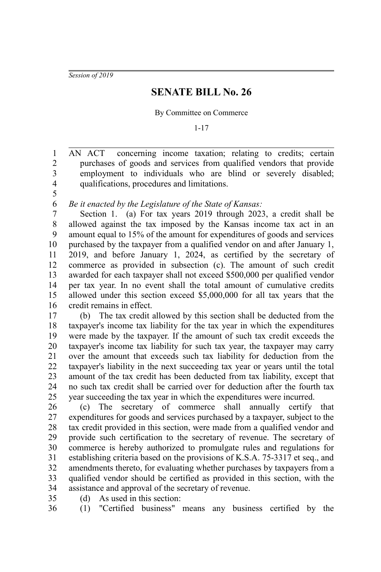*Session of 2019*

5

35

## **SENATE BILL No. 26**

By Committee on Commerce

1-17

AN ACT concerning income taxation; relating to credits; certain purchases of goods and services from qualified vendors that provide employment to individuals who are blind or severely disabled; qualifications, procedures and limitations. 1 2 3 4

*Be it enacted by the Legislature of the State of Kansas:* 6

Section 1. (a) For tax years 2019 through 2023, a credit shall be allowed against the tax imposed by the Kansas income tax act in an amount equal to 15% of the amount for expenditures of goods and services purchased by the taxpayer from a qualified vendor on and after January 1, 2019, and before January 1, 2024, as certified by the secretary of commerce as provided in subsection (c). The amount of such credit awarded for each taxpayer shall not exceed \$500,000 per qualified vendor per tax year. In no event shall the total amount of cumulative credits allowed under this section exceed \$5,000,000 for all tax years that the credit remains in effect. 7 8 9 10 11 12 13 14 15 16

(b) The tax credit allowed by this section shall be deducted from the taxpayer's income tax liability for the tax year in which the expenditures were made by the taxpayer. If the amount of such tax credit exceeds the taxpayer's income tax liability for such tax year, the taxpayer may carry over the amount that exceeds such tax liability for deduction from the taxpayer's liability in the next succeeding tax year or years until the total amount of the tax credit has been deducted from tax liability, except that no such tax credit shall be carried over for deduction after the fourth tax year succeeding the tax year in which the expenditures were incurred. 17 18 19 20 21 22 23 24 25

(c) The secretary of commerce shall annually certify that expenditures for goods and services purchased by a taxpayer, subject to the tax credit provided in this section, were made from a qualified vendor and provide such certification to the secretary of revenue. The secretary of commerce is hereby authorized to promulgate rules and regulations for establishing criteria based on the provisions of K.S.A. 75-3317 et seq., and amendments thereto, for evaluating whether purchases by taxpayers from a qualified vendor should be certified as provided in this section, with the assistance and approval of the secretary of revenue. 26 27 28 29 30 31 32 33 34

(d) As used in this section:

(1) "Certified business" means any business certified by the 36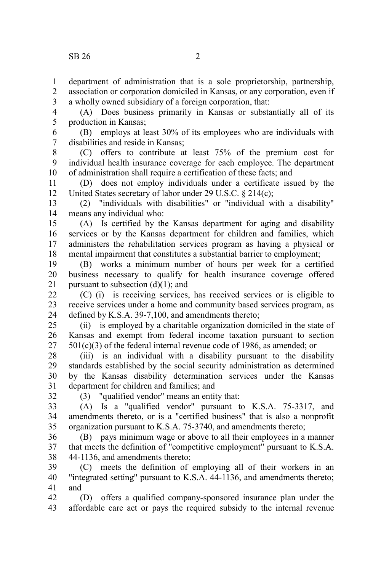department of administration that is a sole proprietorship, partnership, association or corporation domiciled in Kansas, or any corporation, even if a wholly owned subsidiary of a foreign corporation, that: 1 2 3

(A) Does business primarily in Kansas or substantially all of its production in Kansas; 4 5

(B) employs at least 30% of its employees who are individuals with disabilities and reside in Kansas; 6 7

(C) offers to contribute at least 75% of the premium cost for individual health insurance coverage for each employee. The department of administration shall require a certification of these facts; and 8 9 10

(D) does not employ individuals under a certificate issued by the United States secretary of labor under 29 U.S.C. § 214(c); 11 12

(2) "individuals with disabilities" or "individual with a disability" means any individual who: 13 14

(A) Is certified by the Kansas department for aging and disability services or by the Kansas department for children and families, which administers the rehabilitation services program as having a physical or mental impairment that constitutes a substantial barrier to employment; 15 16 17 18

(B) works a minimum number of hours per week for a certified business necessary to qualify for health insurance coverage offered pursuant to subsection  $(d)(1)$ ; and 19 20 21

(C) (i) is receiving services, has received services or is eligible to receive services under a home and community based services program, as defined by K.S.A. 39-7,100, and amendments thereto; 22 23 24

(ii) is employed by a charitable organization domiciled in the state of Kansas and exempt from federal income taxation pursuant to section  $501(c)(3)$  of the federal internal revenue code of 1986, as amended; or 25 26 27

(iii) is an individual with a disability pursuant to the disability standards established by the social security administration as determined by the Kansas disability determination services under the Kansas department for children and families; and 28 29 30 31

32

(3) "qualified vendor" means an entity that:

(A) Is a "qualified vendor" pursuant to K.S.A. 75-3317, and amendments thereto, or is a "certified business" that is also a nonprofit organization pursuant to K.S.A. 75-3740, and amendments thereto; 33 34 35

(B) pays minimum wage or above to all their employees in a manner that meets the definition of "competitive employment" pursuant to K.S.A. 44-1136, and amendments thereto; 36 37 38

(C) meets the definition of employing all of their workers in an "integrated setting" pursuant to K.S.A. 44-1136, and amendments thereto; and 39 40 41

(D) offers a qualified company-sponsored insurance plan under the affordable care act or pays the required subsidy to the internal revenue 42 43